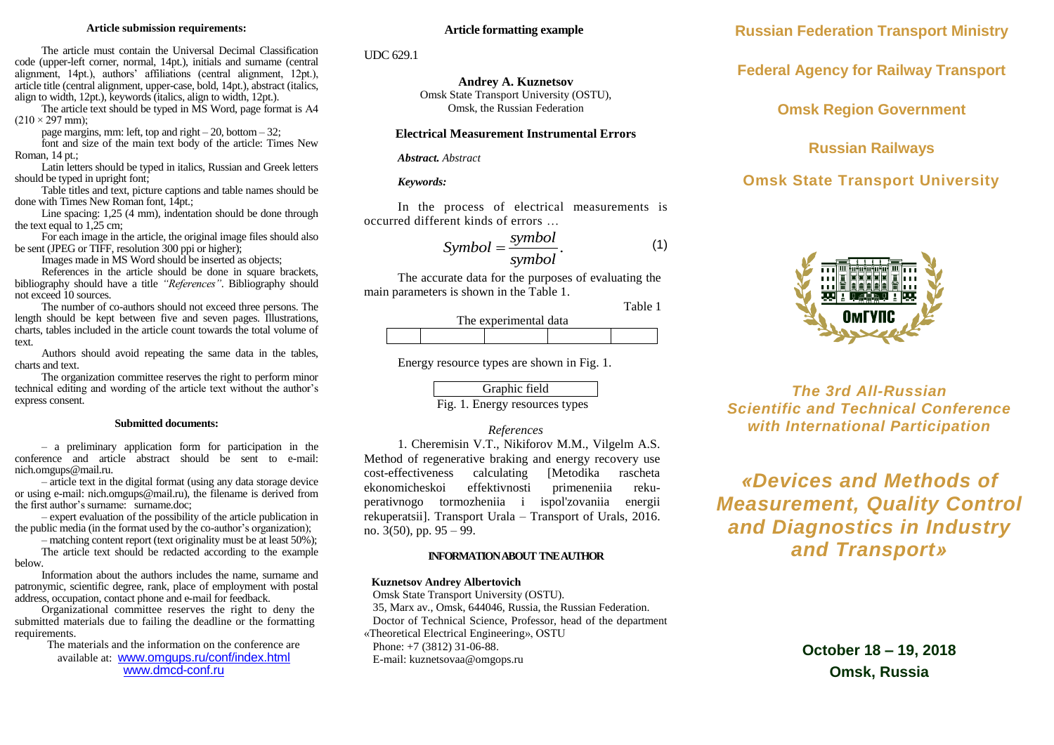### **Article submission requirements:**

The article must contain the Universal Decimal Classification code (upper-left corner, normal, 14pt.), initials and surname (central alignment, 14pt.), authors' affiliations (central alignment, 12pt.), article title (central alignment, upper-case, bold, 14pt.), abstract (italics, align to width, 12pt.), keywords (italics, align to width, 12pt.).

The article text should be typed in MS Word, page format is A4  $(210 \times 297 \text{ mm})$ ;

page margins, mm: left, top and right  $-20$ , bottom  $-32$ ;

font and size of the main text body of the article: Times New Roman, 14 pt.;

Latin letters should be typed in italics, Russian and Greek letters should be typed in upright font;

Table titles and text, picture captions and table names should be done with Times New Roman font, 14pt.;

Line spacing: 1,25 (4 mm), indentation should be done through the text equal to  $1.25$  cm;

For each image in the article, the original image files should also be sent (JPEG or TIFF, resolution 300 ppi or higher);

Images made in MS Word should be inserted as objects;

References in the article should be done in square brackets, bibliography should have a title *"References"*. Bibliography should not exceed 10 sources.

The number of co-authors should not exceed three persons. The length should be kept between five and seven pages. Illustrations, charts, tables included in the article count towards the total volume of text.

Authors should avoid repeating the same data in the tables, charts and text.

The organization committee reserves the right to perform minor technical editing and wording of the article text without the author's express consent.

#### **Submitted documents:**

– a preliminary application form for participation in the conference and article abstract should be sent to e-mail: nich.omgups@mail.ru.

– article text in the digital format (using any data storage device or using e-mail: nich.omgups@mail.ru), the filename is derived from the first author's surname: surname.doc:

– expert evaluation of the possibility of the article publication in the public media (in the format used by the co-author's organization);

– matching content report (text originality must be at least 50%); The article text should be redacted according to the example below.

Information about the authors includes the name, surname and patronymic, scientific degree, rank, place of employment with postal address, occupation, contact phone and e-mail for feedback.

Organizational committee reserves the right to deny the submitted materials due to failing the deadline or the formatting requirements.

> The materials and the information on the conference are available at: [www.omgups.ru/conf/index.html](http://www.omgups.ru/conf/index.html) www.dmcd-conf.ru

### **Article formatting example**

UDC 629.1

**Andrey A. Kuznetsov** Omsk State Transport University (OSTU), Omsk, the Russian Federation

### **Electrical Measurement Instrumental Errors**

### *Abstract. Abstract*

### *Keywords:*

In the process of electrical measurements is occurred different kinds of errors …

$$
Symbol = \frac{symbol}{symbol}.\tag{1}
$$

The accurate data for the purposes of evaluating the main parameters is shown in the Table 1.

Table 1



Energy resource types are shown in Fig. 1.

Graphic field Fig. 1. Energy resources types

### *References*

1. Cheremisin V.T., Nikiforov M.M., Vilgelm A.S. Method of regenerative braking and energy recovery use cost-effectiveness calculating [Metodika rascheta ekonomicheskoi effektivnosti primeneniia rekuperativnogo tormozheniia i ispol'zovaniia energii rekuperatsii]. Transport Urala – Transport of Urals, 2016. no. 3(50), pp. 95 – 99.

### **INFORMATION ABOUT TNE AUTHOR**

### **Kuznetsov Andrey Albertovich**

Omsk State Transport University (OSTU).

35, Marx av., Omsk, 644046, Russia, the Russian Federation.

Doctor of Technical Science, Professor, head of the department

«Theoretical Electrical Engineering», OSTU Phone: +7 (3812) 31-06-88.

E-mail: kuznetsovaa@omgops.ru

**Russian Federation Transport Ministry**

**Federal Agency for Railway Transport**

**Omsk Region Government**

# **Russian Railways**

# **Omsk State Transport University**



*The 3rd All-Russian Scientific and Technical Conference with International Participation*

*«Devices and Methods of Measurement, Quality Control and Diagnostics in Industry and Transport»*

> **October 18 – 19, 2018 Omsk, Russia**